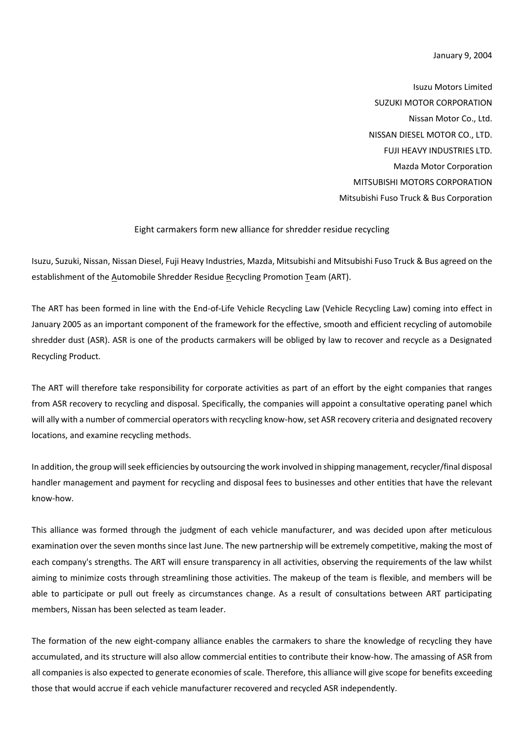January 9, 2004

Isuzu Motors Limited SUZUKI MOTOR CORPORATION Nissan Motor Co., Ltd. NISSAN DIESEL MOTOR CO., LTD. FUJI HEAVY INDUSTRIES LTD. Mazda Motor Corporation MITSUBISHI MOTORS CORPORATION Mitsubishi Fuso Truck & Bus Corporation

## Eight carmakers form new alliance for shredder residue recycling

Isuzu, Suzuki, Nissan, Nissan Diesel, Fuji Heavy Industries, Mazda, Mitsubishi and Mitsubishi Fuso Truck & Bus agreed on the establishment of the Automobile Shredder Residue Recycling Promotion Team (ART).

The ART has been formed in line with the End-of-Life Vehicle Recycling Law (Vehicle Recycling Law) coming into effect in January 2005 as an important component of the framework for the effective, smooth and efficient recycling of automobile shredder dust (ASR). ASR is one of the products carmakers will be obliged by law to recover and recycle as a Designated Recycling Product.

The ART will therefore take responsibility for corporate activities as part of an effort by the eight companies that ranges from ASR recovery to recycling and disposal. Specifically, the companies will appoint a consultative operating panel which will ally with a number of commercial operators with recycling know-how, set ASR recovery criteria and designated recovery locations, and examine recycling methods.

In addition, the group will seek efficiencies by outsourcing the work involved in shipping management, recycler/final disposal handler management and payment for recycling and disposal fees to businesses and other entities that have the relevant know-how.

This alliance was formed through the judgment of each vehicle manufacturer, and was decided upon after meticulous examination over the seven months since last June. The new partnership will be extremely competitive, making the most of each company's strengths. The ART will ensure transparency in all activities, observing the requirements of the law whilst aiming to minimize costs through streamlining those activities. The makeup of the team is flexible, and members will be able to participate or pull out freely as circumstances change. As a result of consultations between ART participating members, Nissan has been selected as team leader.

The formation of the new eight-company alliance enables the carmakers to share the knowledge of recycling they have accumulated, and its structure will also allow commercial entities to contribute their know-how. The amassing of ASR from all companies is also expected to generate economies of scale. Therefore, this alliance will give scope for benefits exceeding those that would accrue if each vehicle manufacturer recovered and recycled ASR independently.